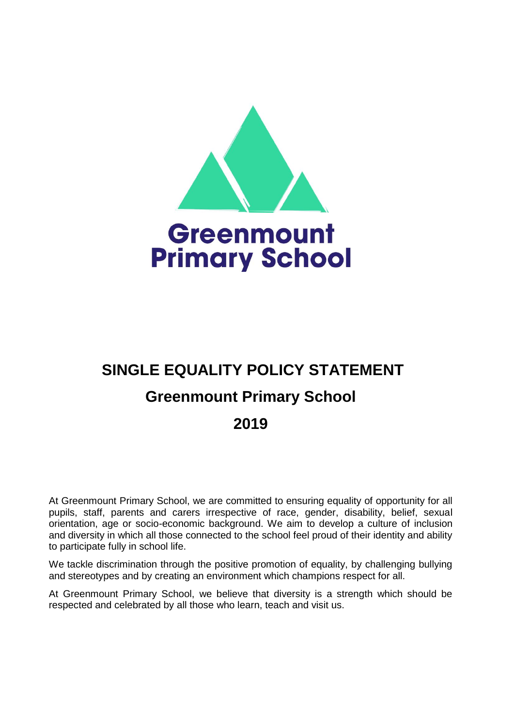

# **SINGLE EQUALITY POLICY STATEMENT Greenmount Primary School 2019**

At Greenmount Primary School, we are committed to ensuring equality of opportunity for all pupils, staff, parents and carers irrespective of race, gender, disability, belief, sexual orientation, age or socio-economic background. We aim to develop a culture of inclusion and diversity in which all those connected to the school feel proud of their identity and ability to participate fully in school life.

We tackle discrimination through the positive promotion of equality, by challenging bullying and stereotypes and by creating an environment which champions respect for all.

At Greenmount Primary School, we believe that diversity is a strength which should be respected and celebrated by all those who learn, teach and visit us.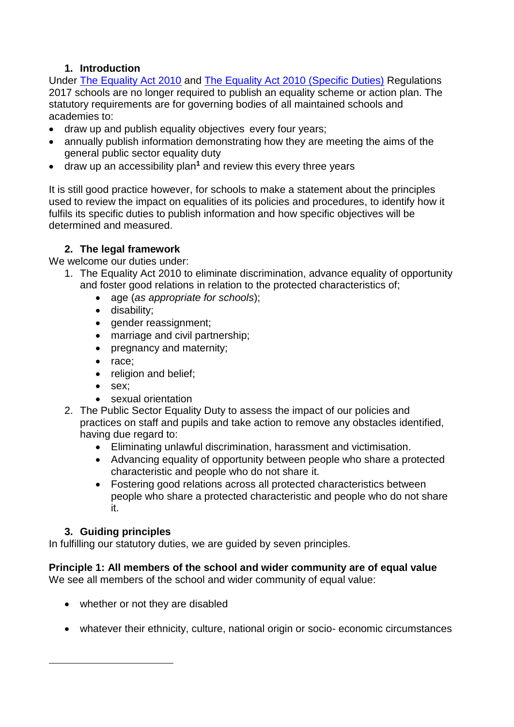# **1. Introduction**

Under [The Equality Act 2010](http://www.legislation.gov.uk/ukpga/2010/15/contents) and [The Equality Act 2010 \(Specific Duties\)](http://www.legislation.gov.uk/uksi/2011/2260/contents/made) Regulations 2017 schools are no longer required to publish an equality scheme or action plan. The statutory requirements are for governing bodies of all maintained schools and academies to:

- draw up and publish equality objectives every four years;
- annually publish information demonstrating how they are meeting the aims of the general public sector equality duty
- draw up an accessibility plan**<sup>1</sup>** and review this every three years

It is still good practice however, for schools to make a statement about the principles used to review the impact on equalities of its policies and procedures, to identify how it fulfils its specific duties to publish information and how specific objectives will be determined and measured.

## **2. The legal framework**

We welcome our duties under:

- 1. The Equality Act 2010 to eliminate discrimination, advance equality of opportunity and foster good relations in relation to the protected characteristics of;
	- age (*as appropriate for schools*);
	- disability;
	- gender reassignment;
	- marriage and civil partnership;
	- pregnancy and maternity:
	- race;
	- religion and belief;
	- sex:
	- sexual orientation
- 2. The Public Sector Equality Duty to assess the impact of our policies and practices on staff and pupils and take action to remove any obstacles identified, having due regard to:
	- Eliminating unlawful discrimination, harassment and victimisation.
	- Advancing equality of opportunity between people who share a protected characteristic and people who do not share it.
	- Fostering good relations across all protected characteristics between people who share a protected characteristic and people who do not share it.

## **3. Guiding principles**

1

In fulfilling our statutory duties, we are guided by seven principles.

# **Principle 1: All members of the school and wider community are of equal value**

We see all members of the school and wider community of equal value:

- whether or not they are disabled
- whatever their ethnicity, culture, national origin or socio- economic circumstances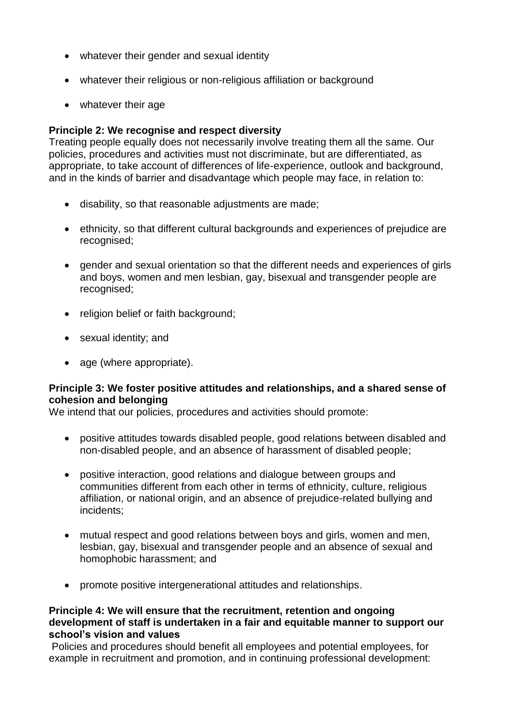- whatever their gender and sexual identity
- whatever their religious or non-religious affiliation or background
- whatever their age

## **Principle 2: We recognise and respect diversity**

Treating people equally does not necessarily involve treating them all the same. Our policies, procedures and activities must not discriminate, but are differentiated, as appropriate, to take account of differences of life-experience, outlook and background, and in the kinds of barrier and disadvantage which people may face, in relation to:

- disability, so that reasonable adjustments are made;
- ethnicity, so that different cultural backgrounds and experiences of prejudice are recognised;
- gender and sexual orientation so that the different needs and experiences of girls and boys, women and men lesbian, gay, bisexual and transgender people are recognised;
- religion belief or faith background;
- sexual identity; and
- age (where appropriate).

## **Principle 3: We foster positive attitudes and relationships, and a shared sense of cohesion and belonging**

We intend that our policies, procedures and activities should promote:

- positive attitudes towards disabled people, good relations between disabled and non-disabled people, and an absence of harassment of disabled people;
- positive interaction, good relations and dialogue between groups and communities different from each other in terms of ethnicity, culture, religious affiliation, or national origin, and an absence of prejudice-related bullying and incidents;
- mutual respect and good relations between boys and girls, women and men, lesbian, gay, bisexual and transgender people and an absence of sexual and homophobic harassment; and
- promote positive intergenerational attitudes and relationships.

#### **Principle 4: We will ensure that the recruitment, retention and ongoing development of staff is undertaken in a fair and equitable manner to support our school's vision and values**

Policies and procedures should benefit all employees and potential employees, for example in recruitment and promotion, and in continuing professional development: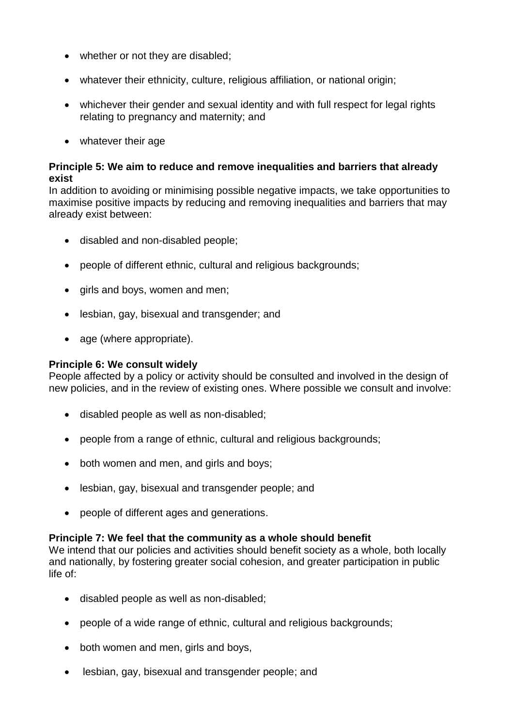- whether or not they are disabled;
- whatever their ethnicity, culture, religious affiliation, or national origin;
- whichever their gender and sexual identity and with full respect for legal rights relating to pregnancy and maternity; and
- whatever their age

## **Principle 5: We aim to reduce and remove inequalities and barriers that already exist**

In addition to avoiding or minimising possible negative impacts, we take opportunities to maximise positive impacts by reducing and removing inequalities and barriers that may already exist between:

- disabled and non-disabled people;
- people of different ethnic, cultural and religious backgrounds;
- girls and boys, women and men;
- lesbian, gay, bisexual and transgender; and
- age (where appropriate).

#### **Principle 6: We consult widely**

People affected by a policy or activity should be consulted and involved in the design of new policies, and in the review of existing ones. Where possible we consult and involve:

- disabled people as well as non-disabled;
- people from a range of ethnic, cultural and religious backgrounds;
- both women and men, and girls and boys;
- lesbian, gay, bisexual and transgender people; and
- people of different ages and generations.

## **Principle 7: We feel that the community as a whole should benefit**

We intend that our policies and activities should benefit society as a whole, both locally and nationally, by fostering greater social cohesion, and greater participation in public life of:

- disabled people as well as non-disabled;
- people of a wide range of ethnic, cultural and religious backgrounds;
- both women and men, girls and boys,
- lesbian, gay, bisexual and transgender people; and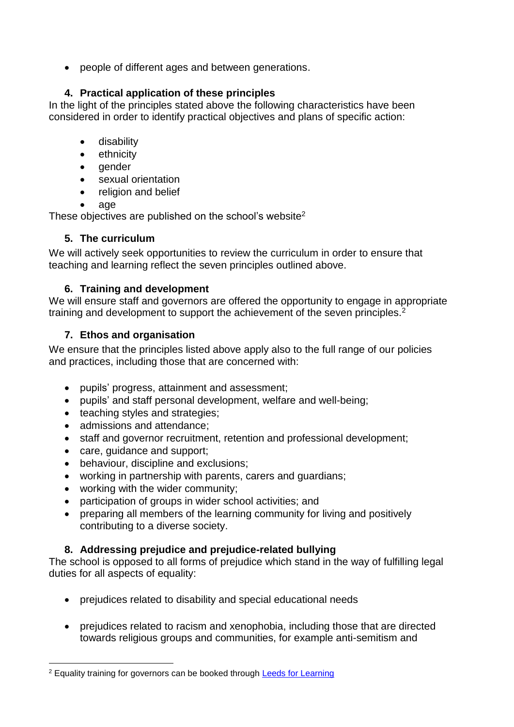people of different ages and between generations.

# **4. Practical application of these principles**

In the light of the principles stated above the following characteristics have been considered in order to identify practical objectives and plans of specific action:

- **•** disability
- ethnicity
- gender
- sexual orientation
- religion and belief
- age

These objectives are published on the school's website<sup>2</sup>

# **5. The curriculum**

We will actively seek opportunities to review the curriculum in order to ensure that teaching and learning reflect the seven principles outlined above.

# **6. Training and development**

We will ensure staff and governors are offered the opportunity to engage in appropriate training and development to support the achievement of the seven principles.<sup>2</sup>

# **7. Ethos and organisation**

We ensure that the principles listed above apply also to the full range of our policies and practices, including those that are concerned with:

- pupils' progress, attainment and assessment;
- pupils' and staff personal development, welfare and well-being;
- teaching styles and strategies;
- admissions and attendance;
- staff and governor recruitment, retention and professional development;
- care, quidance and support;
- behaviour, discipline and exclusions;
- working in partnership with parents, carers and guardians;
- working with the wider community;
- participation of groups in wider school activities; and
- preparing all members of the learning community for living and positively contributing to a diverse society.

# **8. Addressing prejudice and prejudice-related bullying**

The school is opposed to all forms of prejudice which stand in the way of fulfilling legal duties for all aspects of equality:

- prejudices related to disability and special educational needs
- prejudices related to racism and xenophobia, including those that are directed towards religious groups and communities, for example anti-semitism and

<sup>1</sup> <sup>2</sup> Equality training for governors can be booked through **Leeds for Learning**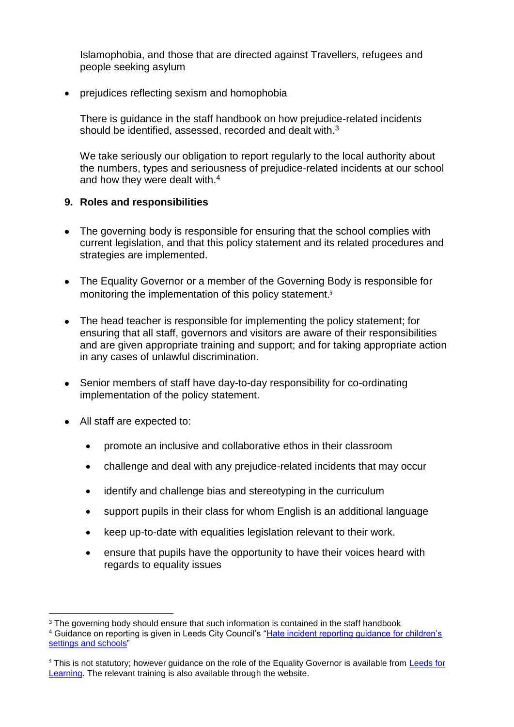Islamophobia, and those that are directed against Travellers, refugees and people seeking asylum

• prejudices reflecting sexism and homophobia

There is guidance in the staff handbook on how prejudice-related incidents should be identified, assessed, recorded and dealt with.<sup>3</sup>

We take seriously our obligation to report regularly to the local authority about the numbers, types and seriousness of prejudice-related incidents at our school and how they were dealt with.<sup>4</sup>

## **9. Roles and responsibilities**

- The governing body is responsible for ensuring that the school complies with current legislation, and that this policy statement and its related procedures and strategies are implemented.
- The Equality Governor or a member of the Governing Body is responsible for monitoring the implementation of this policy statement.<sup>5</sup>
- The head teacher is responsible for implementing the policy statement; for ensuring that all staff, governors and visitors are aware of their responsibilities and are given appropriate training and support; and for taking appropriate action in any cases of unlawful discrimination.
- Senior members of staff have day-to-day responsibility for co-ordinating implementation of the policy statement.
- All staff are expected to:

<u>.</u>

- promote an inclusive and collaborative ethos in their classroom
- challenge and deal with any prejudice-related incidents that may occur
- identify and challenge bias and stereotyping in the curriculum
- support pupils in their class for whom English is an additional language
- keep up-to-date with equalities legislation relevant to their work.
- ensure that pupils have the opportunity to have their voices heard with regards to equality issues

<sup>&</sup>lt;sup>3</sup> The governing body should ensure that such information is contained in the staff handbook

<sup>&</sup>lt;sup>4</sup> Guidance on reporting is given in Leeds City Council's "Hate incident reporting guidance for children's [settings and schools"](http://www.leeds.gov.uk/docs/Childrens%20Settings%20Hate%20Incident%20Reporting%20Sheet%20Guidance%2011%2014.pdf)

<sup>&</sup>lt;sup>5</sup> This is not statutory; however guidance on the role of the Equality Governor is available from Leeds for [Learning.](https://secure2.sla-online.co.uk/Pages/mPageView.aspx?id=2861) The relevant training is also available through the website.